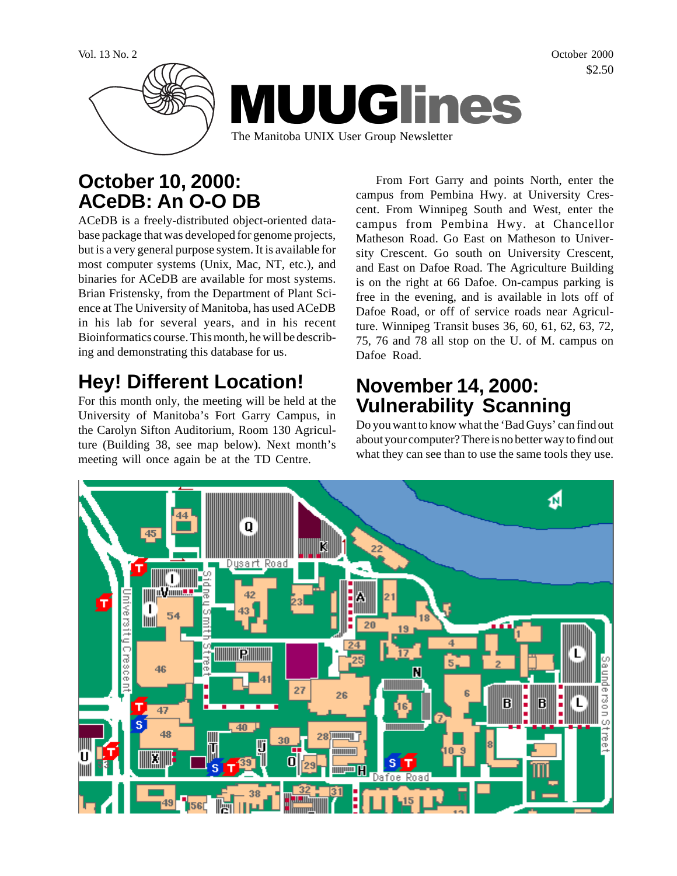

# **October 10, 2000: ACeDB: An O-O DB**

ACeDB is a freely-distributed object-oriented database package that was developed for genome projects, but is a very general purpose system. It is available for most computer systems (Unix, Mac, NT, etc.), and binaries for ACeDB are available for most systems. Brian Fristensky, from the Department of Plant Science at The University of Manitoba, has used ACeDB in his lab for several years, and in his recent Bioinformatics course. This month, he will be describing and demonstrating this database for us.

# **Hey! Different Location!**

For this month only, the meeting will be held at the University of Manitoba's Fort Garry Campus, in the Carolyn Sifton Auditorium, Room 130 Agriculture (Building 38, see map below). Next month's meeting will once again be at the TD Centre.

From Fort Garry and points North, enter the campus from Pembina Hwy. at University Crescent. From Winnipeg South and West, enter the campus from Pembina Hwy. at Chancellor Matheson Road. Go East on Matheson to University Crescent. Go south on University Crescent, and East on Dafoe Road. The Agriculture Building is on the right at 66 Dafoe. On-campus parking is free in the evening, and is available in lots off of Dafoe Road, or off of service roads near Agriculture. Winnipeg Transit buses 36, 60, 61, 62, 63, 72, 75, 76 and 78 all stop on the U. of M. campus on Dafoe Road.

# **November 14, 2000: Vulnerability Scanning**

Do you want to know what the 'Bad Guys' can find out about your computer? There is no better way to find out what they can see than to use the same tools they use.



\$2.50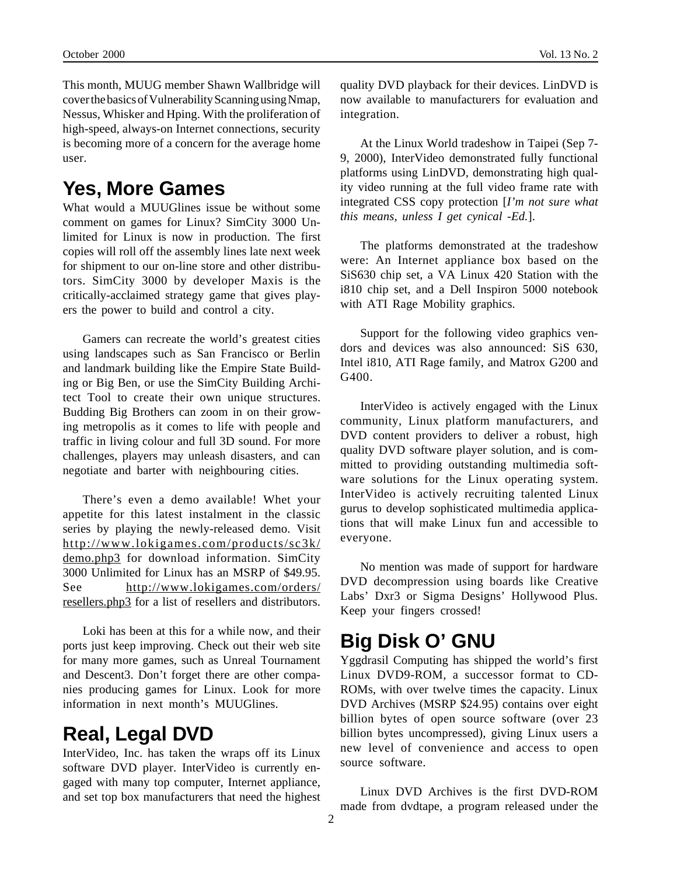This month, MUUG member Shawn Wallbridge will cover the basics of Vulnerability Scanning using Nmap, Nessus, Whisker and Hping. With the proliferation of high-speed, always-on Internet connections, security is becoming more of a concern for the average home user.

## **Yes, More Games**

What would a MUUGlines issue be without some comment on games for Linux? SimCity 3000 Unlimited for Linux is now in production. The first copies will roll off the assembly lines late next week for shipment to our on-line store and other distributors. SimCity 3000 by developer Maxis is the critically-acclaimed strategy game that gives players the power to build and control a city.

Gamers can recreate the world's greatest cities using landscapes such as San Francisco or Berlin and landmark building like the Empire State Building or Big Ben, or use the SimCity Building Architect Tool to create their own unique structures. Budding Big Brothers can zoom in on their growing metropolis as it comes to life with people and traffic in living colour and full 3D sound. For more challenges, players may unleash disasters, and can negotiate and barter with neighbouring cities.

There's even a demo available! Whet your appetite for this latest instalment in the classic series by playing the newly-released demo. Visit http://www.lokigames.com/products/sc3k/ demo.php3 for download information. SimCity 3000 Unlimited for Linux has an MSRP of \$49.95. See http://www.lokigames.com/orders/ resellers.php3 for a list of resellers and distributors.

Loki has been at this for a while now, and their ports just keep improving. Check out their web site for many more games, such as Unreal Tournament and Descent3. Don't forget there are other companies producing games for Linux. Look for more information in next month's MUUGlines.

### **Real, Legal DVD**

InterVideo, Inc. has taken the wraps off its Linux software DVD player. InterVideo is currently engaged with many top computer, Internet appliance, and set top box manufacturers that need the highest

quality DVD playback for their devices. LinDVD is now available to manufacturers for evaluation and integration.

At the Linux World tradeshow in Taipei (Sep 7- 9, 2000), InterVideo demonstrated fully functional platforms using LinDVD, demonstrating high quality video running at the full video frame rate with integrated CSS copy protection [*I'm not sure what this means, unless I get cynical -Ed.*].

The platforms demonstrated at the tradeshow were: An Internet appliance box based on the SiS630 chip set, a VA Linux 420 Station with the i810 chip set, and a Dell Inspiron 5000 notebook with ATI Rage Mobility graphics.

Support for the following video graphics vendors and devices was also announced: SiS 630, Intel i810, ATI Rage family, and Matrox G200 and G400.

InterVideo is actively engaged with the Linux community, Linux platform manufacturers, and DVD content providers to deliver a robust, high quality DVD software player solution, and is committed to providing outstanding multimedia software solutions for the Linux operating system. InterVideo is actively recruiting talented Linux gurus to develop sophisticated multimedia applications that will make Linux fun and accessible to everyone.

No mention was made of support for hardware DVD decompression using boards like Creative Labs' Dxr3 or Sigma Designs' Hollywood Plus. Keep your fingers crossed!

# **Big Disk O' GNU**

Yggdrasil Computing has shipped the world's first Linux DVD9-ROM, a successor format to CD-ROMs, with over twelve times the capacity. Linux DVD Archives (MSRP \$24.95) contains over eight billion bytes of open source software (over 23 billion bytes uncompressed), giving Linux users a new level of convenience and access to open source software.

Linux DVD Archives is the first DVD-ROM made from dvdtape, a program released under the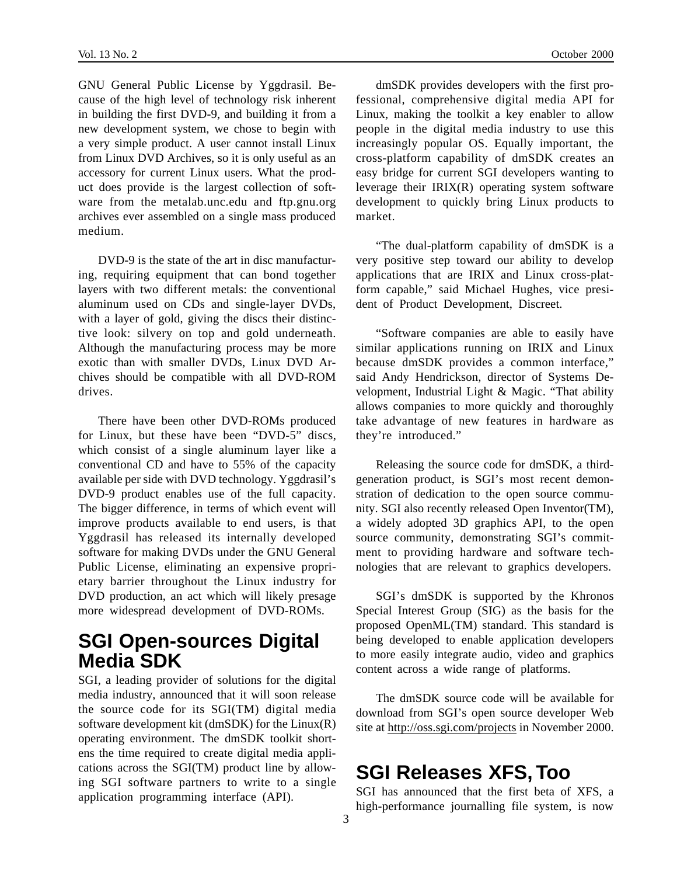GNU General Public License by Yggdrasil. Because of the high level of technology risk inherent in building the first DVD-9, and building it from a new development system, we chose to begin with a very simple product. A user cannot install Linux from Linux DVD Archives, so it is only useful as an accessory for current Linux users. What the product does provide is the largest collection of software from the metalab.unc.edu and ftp.gnu.org archives ever assembled on a single mass produced medium.

DVD-9 is the state of the art in disc manufacturing, requiring equipment that can bond together layers with two different metals: the conventional aluminum used on CDs and single-layer DVDs, with a layer of gold, giving the discs their distinctive look: silvery on top and gold underneath. Although the manufacturing process may be more exotic than with smaller DVDs, Linux DVD Archives should be compatible with all DVD-ROM drives.

There have been other DVD-ROMs produced for Linux, but these have been "DVD-5" discs, which consist of a single aluminum layer like a conventional CD and have to 55% of the capacity available per side with DVD technology. Yggdrasil's DVD-9 product enables use of the full capacity. The bigger difference, in terms of which event will improve products available to end users, is that Yggdrasil has released its internally developed software for making DVDs under the GNU General Public License, eliminating an expensive proprietary barrier throughout the Linux industry for DVD production, an act which will likely presage more widespread development of DVD-ROMs.

#### **SGI Open-sources Digital Media SDK**

SGI, a leading provider of solutions for the digital media industry, announced that it will soon release the source code for its SGI(TM) digital media software development kit (dmSDK) for the Linux(R) operating environment. The dmSDK toolkit shortens the time required to create digital media applications across the SGI(TM) product line by allowing SGI software partners to write to a single application programming interface (API).

dmSDK provides developers with the first professional, comprehensive digital media API for Linux, making the toolkit a key enabler to allow people in the digital media industry to use this increasingly popular OS. Equally important, the cross-platform capability of dmSDK creates an easy bridge for current SGI developers wanting to leverage their IRIX(R) operating system software development to quickly bring Linux products to market.

"The dual-platform capability of dmSDK is a very positive step toward our ability to develop applications that are IRIX and Linux cross-platform capable," said Michael Hughes, vice president of Product Development, Discreet.

"Software companies are able to easily have similar applications running on IRIX and Linux because dmSDK provides a common interface," said Andy Hendrickson, director of Systems Development, Industrial Light & Magic. "That ability allows companies to more quickly and thoroughly take advantage of new features in hardware as they're introduced."

Releasing the source code for dmSDK, a thirdgeneration product, is SGI's most recent demonstration of dedication to the open source community. SGI also recently released Open Inventor(TM), a widely adopted 3D graphics API, to the open source community, demonstrating SGI's commitment to providing hardware and software technologies that are relevant to graphics developers.

SGI's dmSDK is supported by the Khronos Special Interest Group (SIG) as the basis for the proposed OpenML(TM) standard. This standard is being developed to enable application developers to more easily integrate audio, video and graphics content across a wide range of platforms.

The dmSDK source code will be available for download from SGI's open source developer Web site at http://oss.sgi.com/projects in November 2000.

#### **SGI Releases XFS, Too**

SGI has announced that the first beta of XFS, a high-performance journalling file system, is now